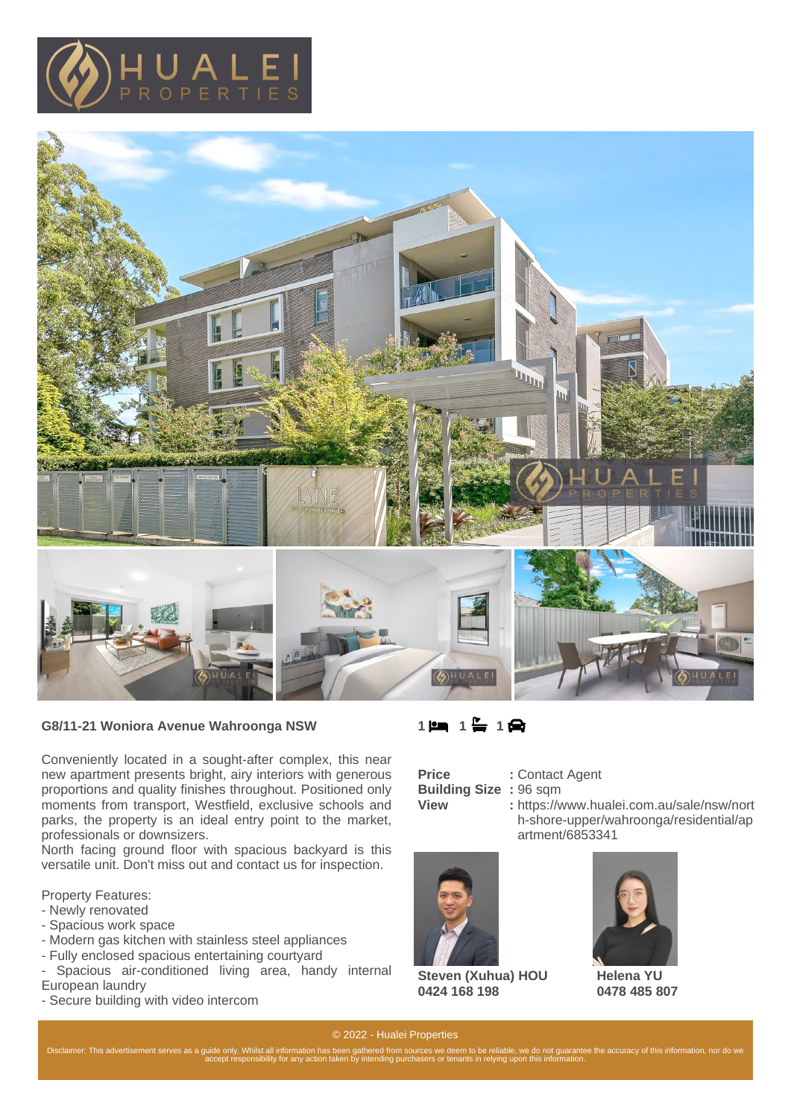



## **G8/11-21 Woniora Avenue Wahroonga NSW**

Conveniently located in a sought-after complex, this near new apartment presents bright, airy interiors with generous proportions and quality finishes throughout. Positioned only moments from transport, Westfield, exclusive schools and parks, the property is an ideal entry point to the market, professionals or downsizers.

North facing ground floor with spacious backyard is this versatile unit. Don't miss out and contact us for inspection.

Property Features:

- Newly renovated
- Spacious work space
- Modern gas kitchen with stainless steel appliances
- Fully enclosed spacious entertaining courtyard
- Spacious air-conditioned living area, handy internal European laundry
- Secure building with video intercom



**Price : Contact Agent** 

**Building Size :** 96 sqm

**View :** https://www.hualei.com.au/sale/nsw/nort h-shore-upper/wahroonga/residential/ap artment/6853341



**Steven (Xuhua) HOU 0424 168 198**



**Helena YU 0478 485 807**

© 2022 - Hualei Properties

Disclaimer: This advertisement serves as a guide only. Whilst all information has been gathered from sources we deem to be reliable, we do not guarantee the accuracy of this information, nor do we<br>accept responsibility for